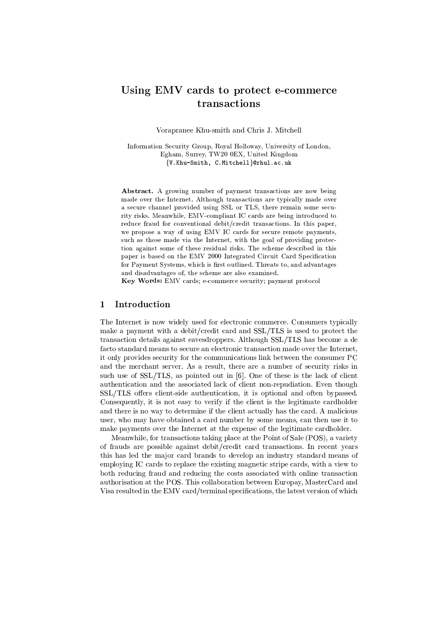# Using EMV cards to protect e-commerce transactions

Vorapranee Khu-smith and Chris J. Mitchell

Information Security Group, Royal Holloway, University of London, Egham, Surrey, TW20 0EX, United Kingdom {V.Khu-Smith, C.Mitchell}@rhul.ac.uk

Abstract. A growing number of payment transactions are now being made over the Internet. Although transactions are typically made over a secure channel provided using SSL or TLS, there remain some security risks. Meanwhile, EMV-compliant IC cards are being introduced to reduce fraud for conventional debit/credit transactions. In this paper, we propose a way of using EMV IC cards for secure remote payments, such as those made via the Internet, with the goal of providing protection against some of these residual risks. The scheme described in this paper is based on the EMV 2000 Integrated Circuit Card Specification for Payment Systems, which is first outlined. Threats to, and advantages and disadvantages of, the scheme are also examined.

Key Words: EMV cards; e-commerce security; payment protocol

#### Introduction  $\mathbf{1}$

The Internet is now widely used for electronic commerce. Consumers typically make a payment with a debit/credit card and SSL/TLS is used to protect the transaction details against eavesdroppers. Although SSL/TLS has become a de facto standard means to secure an electronic transaction made over the Internet. it only provides security for the communications link between the consumer PC and the merchant server. As a result, there are a number of security risks in such use of  $SSL/TLS$ , as pointed out in [6]. One of these is the lack of client authentication and the associated lack of client non-repudiation. Even though SSL/TLS offers client-side authentication, it is optional and often bypassed. Consequently, it is not easy to verify if the client is the legitimate cardholder and there is no way to determine if the client actually has the card. A malicious user, who may have obtained a card number by some means, can then use it to make payments over the Internet at the expense of the legitimate cardholder.

Meanwhile, for transactions taking place at the Point of Sale (POS), a variety of frauds are possible against debit/credit card transactions. In recent years this has led the major card brands to develop an industry standard means of employing IC cards to replace the existing magnetic stripe cards, with a view to both reducing fraud and reducing the costs associated with online transaction authorisation at the POS. This collaboration between Europay, MasterCard and Visa resulted in the EMV card/terminal specifications, the latest version of which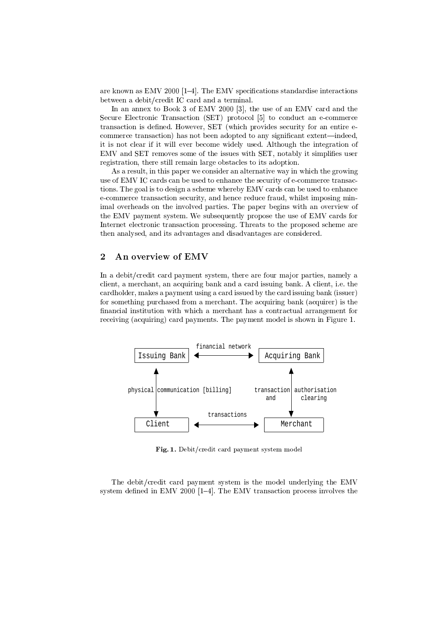are known as EMV 2000  $[1-4]$ . The EMV specifications standardise interactions between a debit/credit IC card and a terminal.

In an annex to Book 3 of EMV 2000 [3], the use of an EMV card and the Secure Electronic Transaction (SET) protocol [5] to conduct an e-commerce transaction is defined. However, SET (which provides security for an entire ecommerce transaction) has not been adopted to any significant extent—indeed. it is not clear if it will ever become widely used. Although the integration of EMV and SET removes some of the issues with SET, notably it simplifies user registration, there still remain large obstacles to its adoption.

As a result, in this paper we consider an alternative way in which the growing use of EMV IC cards can be used to enhance the security of e-commerce transactions. The goal is to design a scheme whereby EMV cards can be used to enhance e-commerce transaction security, and hence reduce fraud, whilst imposing minimal overheads on the involved parties. The paper begins with an overview of the EMV payment system. We subsequently propose the use of EMV cards for Internet electronic transaction processing. Threats to the proposed scheme are then analysed, and its advantages and disadvantages are considered.

### $\overline{2}$ An overview of EMV

In a debit/credit card payment system, there are four major parties, namely a client, a merchant, an acquiring bank and a card issuing bank. A client, *i.e.* the card holder, makes a payment using a card issued by the card issuing bank (issuer) for something purchased from a merchant. The acquiring bank (acquirer) is the financial institution with which a merchant has a contractual arrangement for receiving (acquiring) card payments. The payment model is shown in Figure 1.



Fig. 1. Debit/credit card payment system model

The debit/credit card payment system is the model underlying the EMV system defined in EMV 2000  $[1-4]$ . The EMV transaction process involves the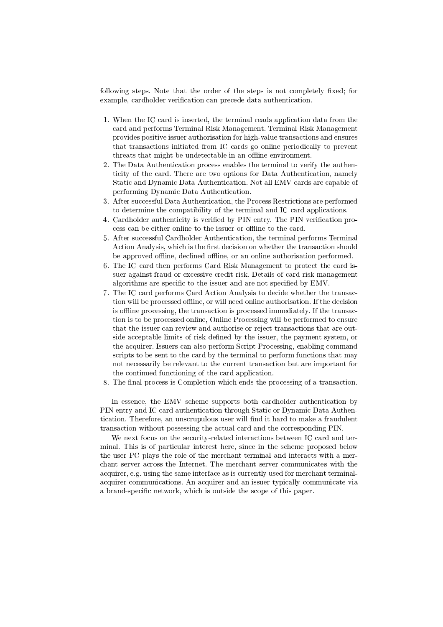following steps. Note that the order of the steps is not completely fixed; for example, cardholder verification can precede data authentication.

- 1. When the IC card is inserted, the terminal reads application data from the card and performs Terminal Risk Management. Terminal Risk Management provides positive issuer authorisation for high-value transactions and ensures that transactions initiated from IC cards go online periodically to prevent threats that might be undetectable in an offline environment.
- 2. The Data Authentication process enables the terminal to verify the authenticity of the card. There are two options for Data Authentication, namely Static and Dynamic Data Authentication. Not all EMV cards are capable of performing Dynamic Data Authentication.
- 3. After successful Data Authentication, the Process Restrictions are performed to determine the compatibility of the terminal and IC card applications.
- 4. Cardholder authenticity is verified by PIN entry. The PIN verification process can be either online to the issuer or offline to the card.
- 5. After successful Cardholder Authentication, the terminal performs Terminal Action Analysis, which is the first decision on whether the transaction should be approved offline, declined offline, or an online authorisation performed.
- 6. The IC card then performs Card Risk Management to protect the card issuer against fraud or excessive credit risk. Details of card risk management algorithms are specific to the issuer and are not specified by EMV.
- 7. The IC card performs Card Action Analysis to decide whether the transaction will be processed offline, or will need online authorisation. If the decision is offline processing, the transaction is processed immediately. If the transaction is to be processed online, Online Processing will be performed to ensure that the issuer can review and authorise or reject transactions that are outside acceptable limits of risk defined by the issuer, the payment system, or the acquirer. Issuers can also perform Script Processing, enabling command scripts to be sent to the card by the terminal to perform functions that may not necessarily be relevant to the current transaction but are important for the continued functioning of the card application.
- 8. The final process is Completion which ends the processing of a transaction.

In essence, the EMV scheme supports both cardholder authentication by PIN entry and IC card authentication through Static or Dynamic Data Authentication. Therefore, an unscrupulous user will find it hard to make a fraudulent transaction without possessing the actual card and the corresponding PIN.

We next focus on the security-related interactions between IC card and terminal. This is of particular interest here, since in the scheme proposed below the user PC plays the role of the merchant terminal and interacts with a merchant server across the Internet. The merchant server communicates with the acquirer, e.g. using the same interface as is currently used for merchant terminalacquirer communications. An acquirer and an issuer typically communicate via a brand-specific network, which is outside the scope of this paper.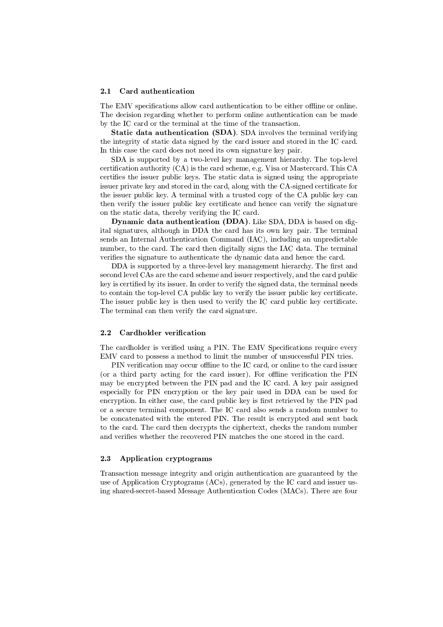#### $2.1$ Card authentication

The EMV specifications allow card authentication to be either offline or online. The decision regarding whether to perform online authentication can be made by the IC card or the terminal at the time of the transaction.

Static data authentication (SDA). SDA involves the terminal verifying the integrity of static data signed by the card issuer and stored in the IC card. In this case the card does not need its own signature key pair.

SDA is supported by a two-level key management hierarchy. The top-level certification authority (CA) is the card scheme, e.g. Visa or Mastercard. This CA certifies the issuer public keys. The static data is signed using the appropriate issuer private key and stored in the card, along with the CA-signed certificate for the issuer public key. A terminal with a trusted copy of the CA public key can then verify the issuer public key certificate and hence can verify the signature on the static data, thereby verifying the IC card.

Dynamic data authentication (DDA). Like SDA, DDA is based on digital signatures, although in DDA the card has its own key pair. The terminal sends an Internal Authentication Command (IAC), including an unpredictable number, to the card. The card then digitally signs the IAC data. The terminal verifies the signature to authenticate the dynamic data and hence the card.

DDA is supported by a three-level key management hierarchy. The first and second level CAs are the card scheme and issuer respectively, and the card public key is certified by its issuer. In order to verify the signed data, the terminal needs to contain the top-level CA public key to verify the issuer public key certificate. The issuer public key is then used to verify the IC card public key certificate. The terminal can then verify the card signature.

#### $2.2$ Cardholder verification

The cardholder is verified using a PIN. The EMV Specifications require every EMV card to possess a method to limit the number of unsuccessful PIN tries.

PIN verification may occur offline to the IC card, or online to the card issuer (or a third party acting for the card issuer). For offline verification the PIN may be encrypted between the PIN pad and the IC card. A key pair assigned especially for PIN encryption or the key pair used in DDA can be used for encryption. In either case, the card public key is first retrieved by the PIN pad or a secure terminal component. The IC card also sends a random number to be concatenated with the entered PIN. The result is encrypted and sent back to the card. The card then decrypts the ciphertext, checks the random number and verifies whether the recovered PIN matches the one stored in the card.

#### 2.3 Application cryptograms

Transaction message integrity and origin authentication are guaranteed by the use of Application Cryptograms (ACs), generated by the IC card and issuer using shared-secret-based Message Authentication Codes (MACs). There are four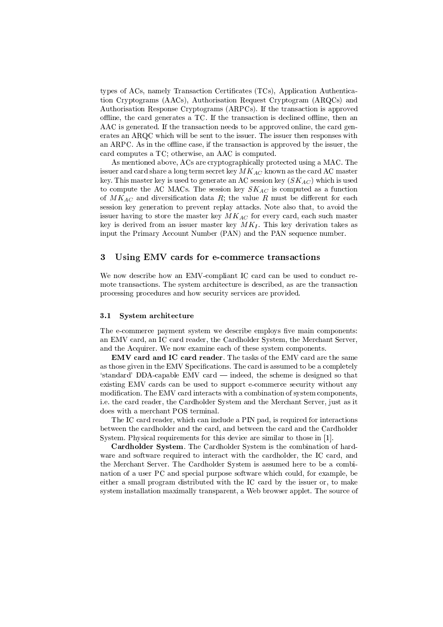types of ACs, namely Transaction Certificates (TCs), Application Authentication Cryptograms (AACs), Authorisation Request Cryptogram (ARQCs) and Authorisation Response Cryptograms (ARPCs). If the transaction is approved offline, the card generates a TC. If the transaction is declined offline, then an AAC is generated. If the transaction needs to be approved online, the card generates an AROC which will be sent to the issuer. The issuer then responses with an ARPC. As in the offline case, if the transaction is approved by the issuer, the card computes a TC; otherwise, an AAC is computed.

As mentioned above, ACs are cryptographically protected using a MAC. The issuer and card share a long term secret key  $MK_{AC}$  known as the card AC master key. This master key is used to generate an AC session key  $(SK_{AC})$  which is used to compute the AC MACs. The session key  $SK_{AC}$  is computed as a function of  $MK_{AC}$  and diversification data R; the value R must be different for each session key generation to prevent replay attacks. Note also that, to avoid the issuer having to store the master key  $MK_{AC}$  for every card, each such master key is derived from an issuer master key  $MK_I$ . This key derivation takes as input the Primary Account Number (PAN) and the PAN sequence number.

## Using EMV cards for e-commerce transactions 3

We now describe how an EMV-compliant IC card can be used to conduct remote transactions. The system architecture is described, as are the transaction processing procedures and how security services are provided.

#### $3.1$ System architecture

The e-commerce payment system we describe employs five main components: an EMV card, an IC card reader, the Cardholder System, the Merchant Server. and the Acquirer. We now examine each of these system components.

EMV card and IC card reader. The tasks of the EMV card are the same as those given in the EMV Specifications. The card is assumed to be a completely 'standard' DDA-capable EMV card — indeed, the scheme is designed so that existing EMV cards can be used to support e-commerce security without any modification. The EMV card interacts with a combination of system components, i.e. the card reader, the Cardholder System and the Merchant Server, just as it does with a merchant POS terminal.

The IC card reader, which can include a PIN pad, is required for interactions between the cardholder and the card, and between the card and the Cardholder System. Physical requirements for this device are similar to those in [1].

Cardholder System. The Cardholder System is the combination of hardware and software required to interact with the cardholder, the IC card, and the Merchant Server. The Cardholder System is assumed here to be a combination of a user PC and special purpose software which could, for example, be either a small program distributed with the IC card by the issuer or, to make system installation maximally transparent, a Web browser applet. The source of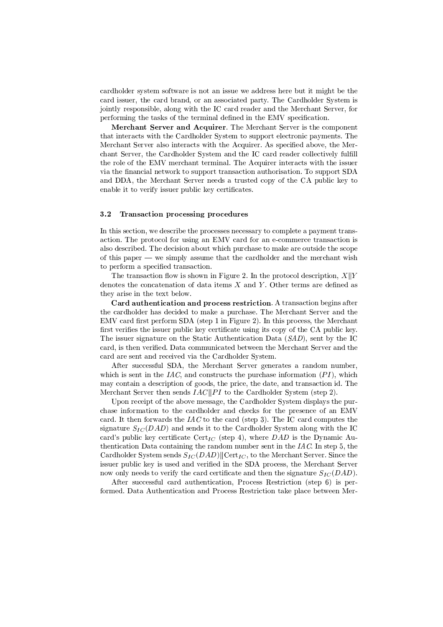cardholder system software is not an issue we address here but it might be the card issuer, the card brand, or an associated party. The Cardholder System is jointly responsible, along with the IC card reader and the Merchant Server, for performing the tasks of the terminal defined in the EMV specification.

Merchant Server and Acquirer. The Merchant Server is the component that interacts with the Cardholder System to support electronic payments. The Merchant Server also interacts with the Acquirer. As specified above, the Merchant Server, the Cardholder System and the IC card reader collectively fulfill the role of the EMV merchant terminal. The Acquirer interacts with the issuer via the financial network to support transaction authorisation. To support SDA and DDA, the Merchant Server needs a trusted copy of the CA public key to enable it to verify issuer public key certificates.

#### 3.2 Transaction processing procedures

In this section, we describe the processes necessary to complete a payment transaction. The protocol for using an EMV card for an e-commerce transaction is also described. The decision about which purchase to make are outside the scope of this paper  $-$  we simply assume that the cardholder and the merchant wish to perform a specified transaction.

The transaction flow is shown in Figure 2. In the protocol description,  $X||Y$ denotes the concatenation of data items  $X$  and  $Y$ . Other terms are defined as they arise in the text below.

Card authentication and process restriction. A transaction begins after the cardholder has decided to make a purchase. The Merchant Server and the EMV card first perform SDA (step 1 in Figure 2). In this process, the Merchant first verifies the issuer public key certificate using its copy of the CA public key. The issuer signature on the Static Authentication Data  $(SAD)$ , sent by the IC card, is then verified. Data communicated between the Merchant Server and the card are sent and received via the Cardholder System.

After successful SDA, the Merchant Server generates a random number. which is sent in the IAC, and constructs the purchase information  $(PI)$ , which may contain a description of goods, the price, the date, and transaction id. The Merchant Server then sends  $IAC||PI$  to the Cardholder System (step 2).

Upon receipt of the above message, the Cardholder System displays the purchase information to the cardholder and checks for the presence of an EMV card. It then forwards the  $IAC$  to the card (step 3). The IC card computes the signature  $S_{IC}(DAD)$  and sends it to the Cardholder System along with the IC card's public key certificate Cert<sub>IC</sub> (step 4), where DAD is the Dynamic Authentication Data containing the random number sent in the  $IAC$ . In step 5, the Cardholder System sends  $S_{IC}(DAD)||$ Cert<sub>IC</sub>, to the Merchant Server. Since the issuer public key is used and verified in the SDA process, the Merchant Server now only needs to verify the card certificate and then the signature  $S_{IC}(DAD)$ .

After successful card authentication, Process Restriction (step 6) is performed. Data Authentication and Process Restriction take place between Mer-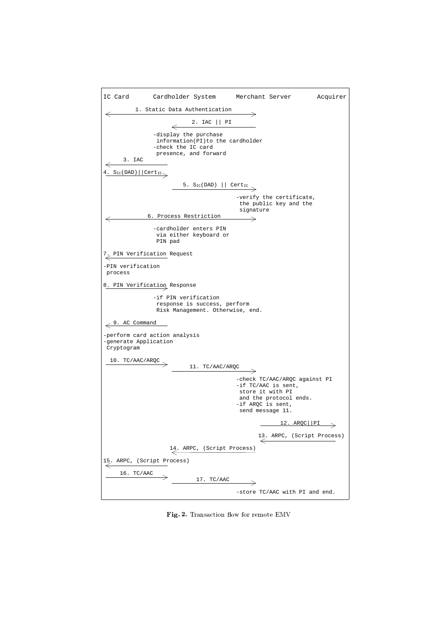

()\* 1 tDR>UNalTU\BVTWQXN-8Qdg PGQRFRT[.SQVT[p'ª\$«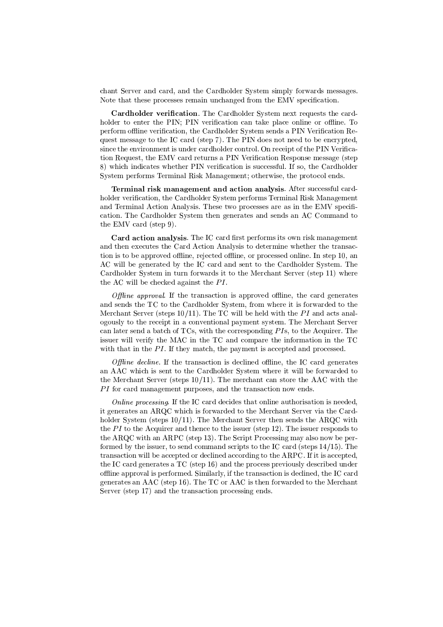chant Server and card, and the Cardholder System simply forwards messages. Note that these processes remain unchanged from the EMV specification.

Cardholder verification. The Cardholder System next requests the cardholder to enter the PIN; PIN verification can take place online or offline. To perform offline verification, the Cardholder System sends a PIN Verification Request message to the IC card (step 7). The PIN does not need to be encrypted. since the environment is under cardholder control. On receipt of the PIN Verification Request, the EMV card returns a PIN Verification Response message (step 8) which indicates whether PIN verification is successful. If so, the Cardholder System performs Terminal Risk Management; otherwise, the protocol ends.

Terminal risk management and action analysis. After successful cardholder verification, the Cardholder System performs Terminal Risk Management and Terminal Action Analysis. These two processes are as in the EMV specification. The Cardholder System then generates and sends an AC Command to the EMV card (step 9).

Card action analysis. The IC card first performs its own risk management and then executes the Card Action Analysis to determine whether the transaction is to be approved offline, rejected offline, or processed online. In step 10, an AC will be generated by the IC card and sent to the Cardholder System. The Cardholder System in turn forwards it to the Merchant Server (step 11) where the AC will be checked against the  $PI$ .

*Offline approval.* If the transaction is approved offline, the card generates and sends the TC to the Cardholder System, from where it is forwarded to the Merchant Server (steps  $10/11$ ). The TC will be held with the PI and acts analogously to the receipt in a conventional payment system. The Merchant Server can later send a batch of TCs, with the corresponding  $PIs$ , to the Acquirer. The issuer will verify the MAC in the TC and compare the information in the TC with that in the  $PI$ . If they match, the payment is accepted and processed.

Offline decline. If the transaction is declined offline, the IC card generates an AAC which is sent to the Cardholder System where it will be forwarded to the Merchant Server (steps  $10/11$ ). The merchant can store the AAC with the PI for card management purposes, and the transaction now ends.

Online processing. If the IC card decides that online authorisation is needed, it generates an ARQC which is forwarded to the Merchant Server via the Cardholder System (steps  $10/11$ ). The Merchant Server then sends the ARQC with the  $PI$  to the Acquirer and thence to the issuer (step 12). The issuer responds to the ARQC with an ARPC (step 13). The Script Processing may also now be performed by the issuer, to send command scripts to the IC card (steps  $14/15$ ). The transaction will be accepted or declined according to the ARPC. If it is accepted, the IC card generates a TC (step 16) and the process previously described under offline approval is performed. Similarly, if the transaction is declined, the IC card generates an AAC (step  $16$ ). The TC or AAC is then forwarded to the Merchant Server (step 17) and the transaction processing ends.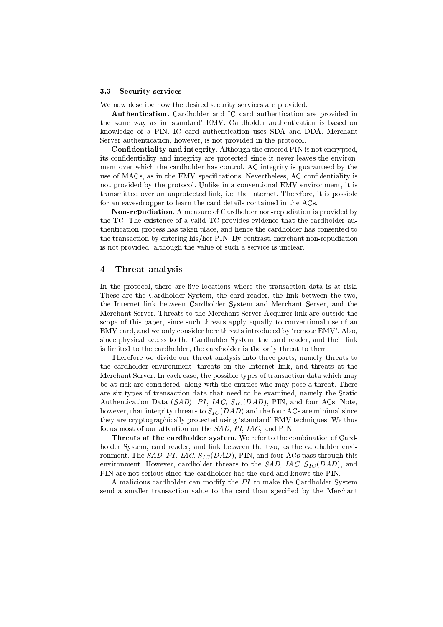#### $3.3$ **Security services**

We now describe how the desired security services are provided.

Authentication. Cardholder and IC card authentication are provided in the same way as in 'standard' EMV. Cardholder authentication is based on knowledge of a PIN. IC card authentication uses SDA and DDA. Merchant Server authentication, however, is not provided in the protocol.

Confidentiality and integrity. Although the entered PIN is not encrypted, its confidentiality and integrity are protected since it never leaves the environment over which the cardholder has control. AC integrity is guaranteed by the use of MACs, as in the EMV specifications. Nevertheless, AC confidentiality is not provided by the protocol. Unlike in a conventional EMV environment, it is transmitted over an unprotected link, i.e. the Internet. Therefore, it is possible for an eavesdropper to learn the card details contained in the ACs.

Non-repudiation. A measure of Cardholder non-repudiation is provided by the TC. The existence of a valid TC provides evidence that the cardholder authentication process has taken place, and hence the cardholder has consented to the transaction by entering his/her PIN. By contrast, merchant non-repudiation is not provided, although the value of such a service is unclear.

#### $\overline{4}$ Threat analysis

In the protocol, there are five locations where the transaction data is at risk. These are the Cardholder System, the card reader, the link between the two, the Internet link between Cardholder System and Merchant Server, and the Merchant Server. Threats to the Merchant Server-Acquirer link are outside the scope of this paper, since such threats apply equally to conventional use of an EMV card, and we only consider here threats introduced by 'remote EMV'. Also, since physical access to the Cardholder System, the card reader, and their link is limited to the cardholder, the cardholder is the only threat to them.

Therefore we divide our threat analysis into three parts, namely threats to the cardholder environment, threats on the Internet link, and threats at the Merchant Server. In each case, the possible types of transaction data which may be at risk are considered, along with the entities who may pose a threat. There are six types of transaction data that need to be examined, namely the Static Authentication Data (SAD), PI, IAC,  $S_{IC}(DAD)$ , PIN, and four ACs. Note, however, that integrity threats to  $S_{IC}(DAD)$  and the four ACs are minimal since they are cryptographically protected using 'standard' EMV techniques. We thus focus most of our attention on the SAD, PI, IAC, and PIN.

Threats at the cardholder system. We refer to the combination of Cardholder System, card reader, and link between the two, as the cardholder environment. The SAD, PI, IAC,  $S_{IC}(DAD)$ , PIN, and four ACs pass through this environment. However, cardholder threats to the SAD, IAC,  $S_{IC}(DAD)$ , and PIN are not serious since the card holder has the card and knows the PIN.

A malicious cardholder can modify the PI to make the Cardholder System send a smaller transaction value to the card than specified by the Merchant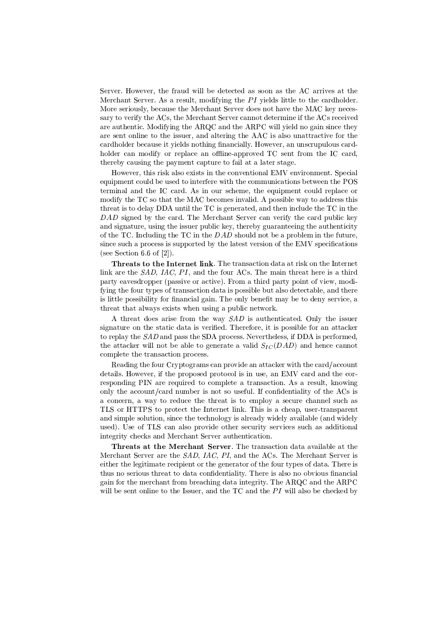Server. However, the fraud will be detected as soon as the AC arrives at the Merchant Server. As a result, modifying the PI yields little to the cardholder. More seriously, because the Merchant Server does not have the MAC key necessary to verify the ACs, the Merchant Server cannot determine if the ACs received are authentic. Modifying the ARQC and the ARPC will yield no gain since they are sent online to the issuer, and altering the AAC is also unattractive for the cardholder because it yields nothing financially. However, an unscrupulous cardholder can modify or replace an offline-approved TC sent from the IC card, thereby causing the payment capture to fail at a later stage.

However, this risk also exists in the conventional EMV environment. Special equipment could be used to interfere with the communications between the POS terminal and the IC card. As in our scheme, the equipment could replace or modify the TC so that the MAC becomes invalid. A possible way to address this threat is to delay DDA until the TC is generated, and then include the TC in the DAD signed by the card. The Merchant Server can verify the card public key and signature, using the issuer public key, thereby guaranteeing the authenticity of the TC. Including the TC in the  $DAD$  should not be a problem in the future, since such a process is supported by the latest version of the EMV specifications (see Section 6.6 of [2]).

Threats to the Internet link. The transaction data at risk on the Internet link are the  $SAD$ , IAC, PI, and the four ACs. The main threat here is a third party eavesdropper (passive or active). From a third party point of view, modifying the four types of transaction data is possible but also detectable, and there is little possibility for financial gain. The only benefit may be to deny service, a threat that always exists when using a public network.

A threat does arise from the way SAD is authenticated. Only the issuer signature on the static data is verified. Therefore, it is possible for an attacker to replay the SAD and pass the SDA process. Nevertheless, if DDA is performed, the attacker will not be able to generate a valid  $S_{IC}(DAD)$  and hence cannot complete the transaction process.

Reading the four Cryptograms can provide an attacker with the card/account details. However, if the proposed protocol is in use, an EMV card and the corresponding PIN are required to complete a transaction. As a result, knowing only the account/card number is not so useful. If confidentiality of the ACs is a concern, a way to reduce the threat is to employ a secure channel such as TLS or HTTPS to protect the Internet link. This is a cheap, user-transparent and simple solution, since the technology is already widely available (and widely used). Use of TLS can also provide other security services such as additional integrity checks and Merchant Server authentication.

Threats at the Merchant Server. The transaction data available at the Merchant Server are the SAD, IAC, PI, and the ACs. The Merchant Server is either the legitimate recipient or the generator of the four types of data. There is thus no serious threat to data confidentiality. There is also no obvious financial gain for the merchant from breaching data integrity. The ARQC and the ARPC will be sent online to the Issuer, and the  $TC$  and the  $PI$  will also be checked by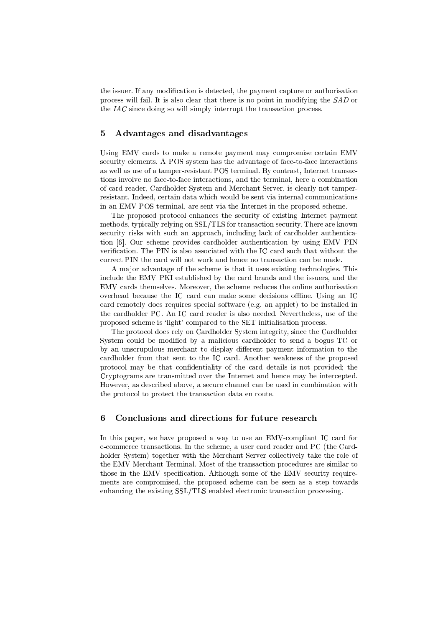the issuer. If any modification is detected, the payment capture or authorisation process will fail. It is also clear that there is no point in modifying the  $SAD$  or the  $IAC$  since doing so will simply interrupt the transaction process.

# $\overline{5}$ Advantages and disadvantages

Using EMV cards to make a remote payment may compromise certain EMV security elements. A POS system has the advantage of face-to-face interactions as well as use of a tamper-resistant POS terminal. By contrast, Internet transactions involve no face-to-face interactions, and the terminal, here a combination of card reader, Cardholder System and Merchant Server, is clearly not tamperresistant. Indeed, certain data which would be sent via internal communications in an EMV POS terminal, are sent via the Internet in the proposed scheme.

The proposed protocol enhances the security of existing Internet payment methods, typically relying on SSL/TLS for transaction security. There are known security risks with such an approach, including lack of cardholder authentication [6]. Our scheme provides cardholder authentication by using EMV PIN verification. The PIN is also associated with the IC card such that without the correct PIN the card will not work and hence no transaction can be made.

A major advantage of the scheme is that it uses existing technologies. This include the EMV PKI established by the card brands and the issuers, and the EMV cards themselves. Moreover, the scheme reduces the online authorisation overhead because the IC card can make some decisions offline. Using an IC card remotely does requires special software (e.g. an applet) to be installed in the cardholder PC. An IC card reader is also needed. Nevertheless, use of the proposed scheme is 'light' compared to the SET initialisation process.

The protocol does rely on Cardholder System integrity, since the Cardholder System could be modified by a malicious cardholder to send a bogus TC or by an unscrupulous merchant to display different payment information to the cardholder from that sent to the IC card. Another weakness of the proposed protocol may be that confidentiality of the card details is not provided; the Cryptograms are transmitted over the Internet and hence may be intercepted. However, as described above, a secure channel can be used in combination with the protocol to protect the transaction data en route.

# 6 Conclusions and directions for future research

In this paper, we have proposed a way to use an EMV-compliant IC card for e-commerce transactions. In the scheme, a user card reader and PC (the Cardholder System) together with the Merchant Server collectively take the role of the EMV Merchant Terminal. Most of the transaction procedures are similar to those in the EMV specification. Although some of the EMV security requirements are compromised, the proposed scheme can be seen as a step towards enhancing the existing SSL/TLS enabled electronic transaction processing.